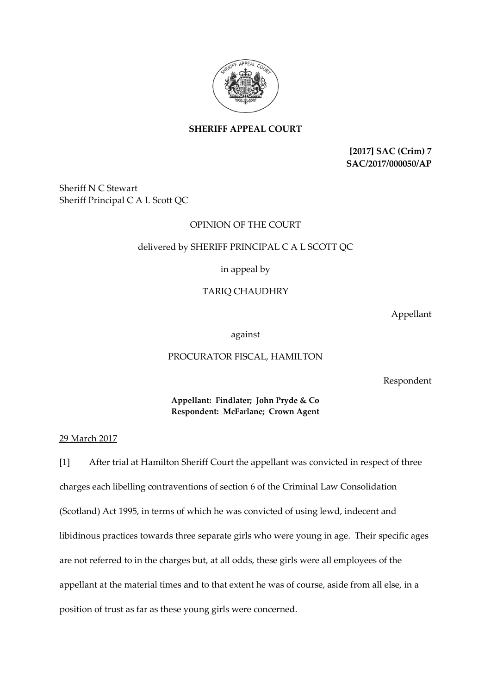

**SHERIFF APPEAL COURT**

**[2017] SAC (Crim) 7 SAC/2017/000050/AP**

Sheriff N C Stewart Sheriff Principal C A L Scott QC

# OPINION OF THE COURT

## delivered by SHERIFF PRINCIPAL C A L SCOTT QC

## in appeal by

## TARIQ CHAUDHRY

Appellant

against

#### PROCURATOR FISCAL, HAMILTON

Respondent

## **Appellant: Findlater; John Pryde & Co Respondent: McFarlane; Crown Agent**

#### 29 March 2017

[1] After trial at Hamilton Sheriff Court the appellant was convicted in respect of three charges each libelling contraventions of section 6 of the Criminal Law Consolidation (Scotland) Act 1995, in terms of which he was convicted of using lewd, indecent and libidinous practices towards three separate girls who were young in age. Their specific ages are not referred to in the charges but, at all odds, these girls were all employees of the appellant at the material times and to that extent he was of course, aside from all else, in a position of trust as far as these young girls were concerned.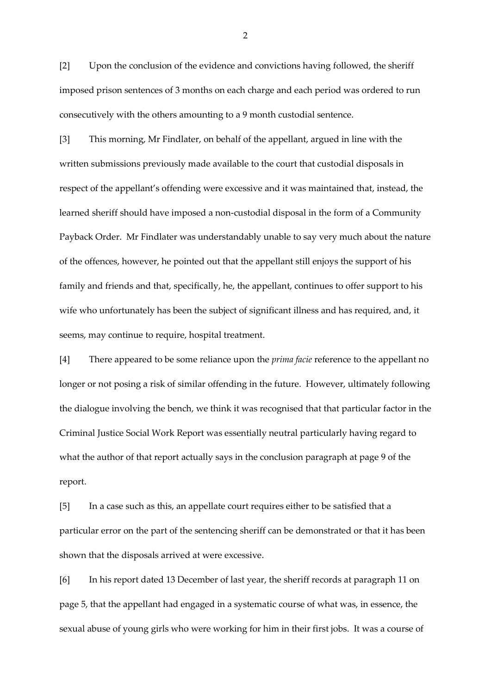[2] Upon the conclusion of the evidence and convictions having followed, the sheriff imposed prison sentences of 3 months on each charge and each period was ordered to run consecutively with the others amounting to a 9 month custodial sentence.

[3] This morning, Mr Findlater, on behalf of the appellant, argued in line with the written submissions previously made available to the court that custodial disposals in respect of the appellant's offending were excessive and it was maintained that, instead, the learned sheriff should have imposed a non-custodial disposal in the form of a Community Payback Order. Mr Findlater was understandably unable to say very much about the nature of the offences, however, he pointed out that the appellant still enjoys the support of his family and friends and that, specifically, he, the appellant, continues to offer support to his wife who unfortunately has been the subject of significant illness and has required, and, it seems, may continue to require, hospital treatment.

[4] There appeared to be some reliance upon the *prima facie* reference to the appellant no longer or not posing a risk of similar offending in the future. However, ultimately following the dialogue involving the bench, we think it was recognised that that particular factor in the Criminal Justice Social Work Report was essentially neutral particularly having regard to what the author of that report actually says in the conclusion paragraph at page 9 of the report.

[5] In a case such as this, an appellate court requires either to be satisfied that a particular error on the part of the sentencing sheriff can be demonstrated or that it has been shown that the disposals arrived at were excessive.

[6] In his report dated 13 December of last year, the sheriff records at paragraph 11 on page 5, that the appellant had engaged in a systematic course of what was, in essence, the sexual abuse of young girls who were working for him in their first jobs. It was a course of

2